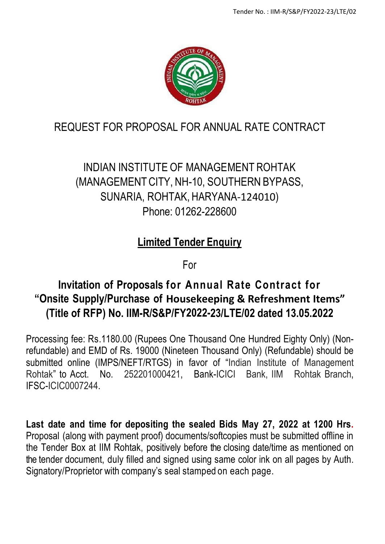

# REQUEST FOR PROPOSAL FOR ANNUAL RATE CONTRACT

# INDIAN INSTITUTE OF MANAGEMENT ROHTAK (MANAGEMENTCITY, NH-10, SOUTHERN BYPASS, SUNARIA, ROHTAK, HARYANA-124010) Phone: 01262-228600

# **Limited Tender Enquiry**

For

# **Invitation of Proposals for Annual Rate Contract for "Onsite Supply/Purchase of Housekeeping & Refreshment Items" (Title of RFP) No. IIM-R/S&P/FY2022-23/LTE/02 dated 13.05.2022**

Processing fee: Rs.1180.00 (Rupees One Thousand One Hundred Eighty Only) (Nonrefundable) and EMD of Rs. 19000 (Nineteen Thousand Only) (Refundable) should be submitted online (IMPS/NEFT/RTGS) in favor of "Indian Institute of Management Rohtak" to Acct. No. 252201000421, Bank-ICICI Bank, IIM Rohtak Branch, IFSC-ICIC0007244.

**Last date and time for depositing the sealed Bids May 27, 2022 at 1200 Hrs.** Proposal (along with payment proof) documents/softcopies must be submitted offline in the Tender Box at IIM Rohtak, positively before the closing date/time as mentioned on the tender document, duly filled and signed using same color ink on all pages by Auth. Signatory/Proprietor with company's seal stamped on each page.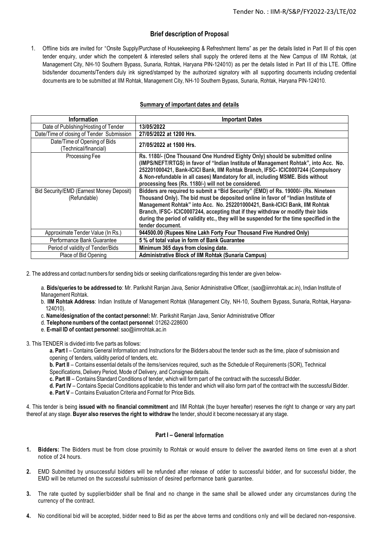## **Brief description of Proposal**

1. Offline bids are invited for "Onsite Supply/Purchase of Housekeeping & Refreshment Items" as per the details listed in Part III of this open tender enquiry, under which the competent & interested sellers shall supply the ordered items at the New Campus of IIM Rohtak, (at Management City, NH-10 Southern Bypass, Sunaria, Rohtak, Haryana PIN-124010) as per the details listed in Part III of this LTE. Offline bids/tender documents/Tenders duly ink signed/stamped by the authorized signatory with all supporting documents including credential documents are to be submitted at IIM Rohtak, Management City, NH-10 Southern Bypass, Sunaria, Rohtak, Haryana PIN-124010.

## **Summary of important dates and details**

| <b>Information</b>                                       | <b>Important Dates</b>                                                                                                                                                                                                                                                                                                                                                                                                                                   |
|----------------------------------------------------------|----------------------------------------------------------------------------------------------------------------------------------------------------------------------------------------------------------------------------------------------------------------------------------------------------------------------------------------------------------------------------------------------------------------------------------------------------------|
| Date of Publishing/Hosting of Tender                     | 13/05/2022                                                                                                                                                                                                                                                                                                                                                                                                                                               |
| Date/Time of closing of Tender Submission                | 27/05/2022 at 1200 Hrs.                                                                                                                                                                                                                                                                                                                                                                                                                                  |
| Date/Time of Opening of Bids<br>(Technical/financial)    | 27/05/2022 at 1500 Hrs.                                                                                                                                                                                                                                                                                                                                                                                                                                  |
| Processing Fee                                           | Rs. 1180/- (One Thousand One Hundred Eighty Only) should be submitted online<br>(IMPS/NEFT/RTGS) in favor of "Indian Institute of Management Rohtak", into Acc. No.<br>252201000421, Bank-ICICI Bank, IIM Rohtak Branch, IFSC- ICIC0007244 (Compulsory<br>& Non-refundable in all cases) Mandatory for all, including MSME. Bids without<br>processing fees (Rs. 1180/-) will not be considered.                                                         |
| Bid Security/EMD (Earnest Money Deposit)<br>(Refundable) | Bidders are required to submit a "Bid Security" (EMD) of Rs. 19000/- (Rs. Nineteen<br>Thousand Only). The bid must be deposited online in favor of "Indian Institute of<br>Management Rohtak" into Acc. No. 252201000421, Bank-ICICI Bank, IIM Rohtak<br>Branch, IFSC- ICIC0007244, accepting that if they withdraw or modify their bids<br>during the period of validity etc., they will be suspended for the time specified in the<br>tender document. |
| Approximate Tender Value (In Rs.)                        | 944500.00 (Rupees Nine Lakh Forty Four Thousand Five Hundred Only)                                                                                                                                                                                                                                                                                                                                                                                       |
| Performance Bank Guarantee                               | 5 % of total value in form of Bank Guarantee                                                                                                                                                                                                                                                                                                                                                                                                             |
| Period of validity of Tender/Bids                        | Minimum 365 days from closing date.                                                                                                                                                                                                                                                                                                                                                                                                                      |
| Place of Bid Opening                                     | <b>Administrative Block of IIM Rohtak (Sunaria Campus)</b>                                                                                                                                                                                                                                                                                                                                                                                               |

2. The address and contact numbers for sending bids or seeking clarifications regarding this tender are given below-

a. **Bids/queries to be addressed to**: Mr. Parikshit Ranjan Java, Senior Administrative Officer, (sao@iimrohtak.ac.in), Indian Institute of Management Rohtak.

- b. **IIM Rohtak Address**: Indian Institute of Management Rohtak (Management City, NH-10, Southern Bypass, Sunaria, Rohtak, Haryana-124010).
- c. **Name/designation of the contact personnel:**Mr. Parikshit Ranjan Java, Senior Administrative Officer
- d. **Telephone numbers of the contact personnel**: 01262-228600
- e. **E-mail ID of contact personnel**: sao@iimrohtak.ac.in

3. This TENDER is divided into five parts as follows:

**a. Part I** – Contains General Information and Instructions for the Bidders about the tender such as the time, place of submission and opening of tenders, validity period of tenders, etc.

**b. Part II** – Contains essential details of the items/services required, such as the Schedule of Requirements (SOR), Technical Specifications, Delivery Period, Mode of Delivery, and Consignee details.

**c. Part III** – Contains Standard Conditions of tender, which will form part of the contract with the successful Bidder.

**d. Part IV** – Contains Special Conditions applicable to this tender and which will also form part of the contract with the successful Bidder.

**e. Part V** – Contains Evaluation Criteria and Format for Price Bids.

4. This tender is being **issued with no financial commitment** and IIM Rohtak (the buyer hereafter) reserves the right to change or vary any part thereof at any stage. **Buyer also reserves the right to withdraw** the tender, should it become necessary at any stage.

### **Part I – General Information**

- **1. Bidders:** The Bidders must be from close proximity to Rohtak or would ensure to deliver the awarded items on time even at a short notice of 24 hours.
- **2.** EMD Submitted by unsuccessful bidders will be refunded after release of odder to successful bidder, and for successful bidder, the EMD will be returned on the successful submission of desired performance bank guarantee.
- **3.** The rate quoted by supplier/bidder shall be final and no change in the same shall be allowed under any circumstances during the currency of the contract.
- **4.** No conditional bid will be accepted, bidder need to Bid as per the above terms and conditions o nly and will be declared non-responsive.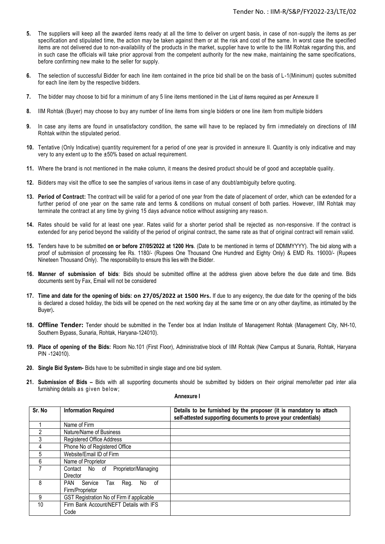- **5.** The suppliers will keep all the awarded items ready at all the time to deliver on urgent basis, in case of non -supply the items as per specification and stipulated time, the action may be taken against them or at the risk and cost of the same. In worst case the specified items are not delivered due to non-availability of the products in the market, supplier have to write to the IIM Rohtak regarding this, and in such case the officials will take prior approval from the competent authority for the new make, maintaining the same specifications, before confirming new make to the seller for supply.
- **6.** The selection of successful Bidder for each line item contained in the price bid shall be on the basis of L-1(Minimum) quotes submitted for each line item by the respective bidders.
- **7.** The bidder may choose to bid for a minimum of any 5 line items mentioned in the List of items required as per Annexure II
- **8.** IIM Rohtak (Buyer) may choose to buy any number of line items from single bidders or one line item from multiple bidders
- **9.** In case any items are found in unsatisfactory condition, the same will have to be replaced by firm immediately on directions of IIM Rohtak within the stipulated period.
- **10.** Tentative (Only Indicative) quantity requirement for a period of one year is provided in annexure II. Quantity is only indicative and may very to any extent up to the ±50% based on actual requirement.
- **11.** Where the brand is not mentioned in the make column, it means the desired product sho uld be of good and acceptable quality.
- **12.** Bidders may visit the office to see the samples of various items in case of any doubt/ambiguity before quoting.
- **13. Period of Contract:** The contract will be valid for a period of one year from the date of placement of order, which can be extended for a further period of one year on the same rate and terms & conditions on mutual consent of both parties. However, IIM Rohtak may terminate the contract at any time by giving 15 days advance notice without assigning any reaso n.
- **14.** Rates should be valid for at least one year. Rates valid for a shorter period shall be rejected as non-responsive. If the contract is extended for any period beyond the validity of the period of original contract, the same rate as that of original contract will remain valid.
- **15.** Tenders have to be submitted **on or before 27/05/2022 at 1200 Hrs**. (Date to be mentioned in terms of DDMMYYYY). The bid along with a proof of submission of processing fee Rs. 1180/- (Rupees One Thousand One Hundred and Eighty Only) & EMD Rs. 19000/- (Rupees Nineteen Thousand Only). The responsibility to ensure this lies with the Bidder.
- **16. Manner of submission of bids**: Bids should be submitted offline at the address given above before the due date and time. Bids documents sent by Fax, Email will not be considered
- 17. Time and date for the opening of bids: on 27/05/2022 at 1500 Hrs. If due to any exigency, the due date for the opening of the bids is declared a closed holiday, the bids will be opened on the next working day at the same time or on any other day/time, as intimated by the Buyer)**.**
- **18. Offline Tender:** Tender should be submitted in the Tender box at Indian Institute of Management Rohtak (Management City, NH-10, Southern Bypass, Sunaria, Rohtak, Haryana-124010).
- **19. Place of opening of the Bids:** Room No.101 (First Floor), Administrative block of IIM Rohtak (New Campus at Sunaria, Rohtak, Haryana PIN -124010).
- **20. Single Bid System-** Bids have to be submitted in single stage and one bid system.
- **21. Submission of Bids –** Bids with all supporting documents should be submitted by bidders on their original memo/letter pad inter alia furnishing details as given below;

| Sr. No | <b>Information Required</b>                               | Details to be furnished by the proposer (it is mandatory to attach<br>self-attested supporting documents to prove your credentials) |
|--------|-----------------------------------------------------------|-------------------------------------------------------------------------------------------------------------------------------------|
|        | Name of Firm                                              |                                                                                                                                     |
|        | Nature/Name of Business                                   |                                                                                                                                     |
| 3      | Registered Office Address                                 |                                                                                                                                     |
|        | Phone No of Registered Office                             |                                                                                                                                     |
| 5      | Website/Email ID of Firm                                  |                                                                                                                                     |
| 6      | Name of Proprietor                                        |                                                                                                                                     |
|        | Proprietor/Managing<br>Contact No of<br><b>Director</b>   |                                                                                                                                     |
| 8      | PAN<br>Service<br>Req.<br>No of<br>Tax<br>Firm/Proprietor |                                                                                                                                     |
| 9      | GST Registration No of Firm if applicable                 |                                                                                                                                     |
| 10     | Firm Bank Account/NEFT Details with IFS<br>Code           |                                                                                                                                     |

**Annexure I**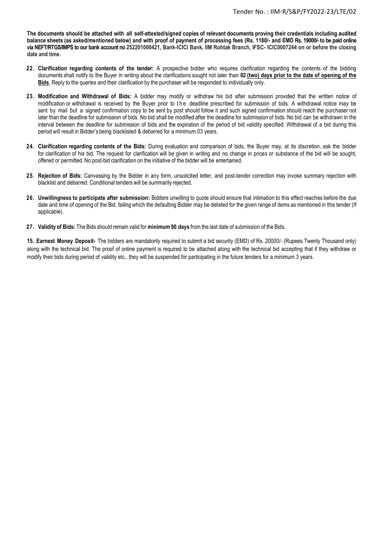The documents should be attached with all self-attested/signed copies of relevant documents proving their credentials including audited **balance sheets (as asked/mentioned below) and with proof of payment of processing fees (Rs. 1180/- and EMD Rs. 19000/- to be paid online via NEFT/RTGS/IMPS to our bank account no 252201000421, Bank-ICICI Bank, IIM Rohtak Branch, IFSC- ICIC0007244 on or before the closing date and time.** 

- **22. Clarification regarding contents of the tender:** A prospective bidder who requires clarification regarding the contents of the bidding documents shall notify to the Buyer in writing about the clarifications sought not later than **02 (two) days prior to the date of opening of the Bids**. Reply to the queries and their clarification by the purchaser will be responded to individually only.
- **23. Modification and Withdrawal of Bids:** A bidder may modify or withdraw his bid after submission provided that the written notice of modification or withdrawal is received by the Buyer prior to the deadline prescribed for submission of bids. A withdrawal notice may be sent by mail but a signed confirmation copy to be sent by post should follow it and such signed confirmation should reach the purchaser not later than the deadline for submission of bids. No bid shall be modified after the deadline for submission of bids. No bid can be withdrawn in the interval between the deadline for submission of bids and the expiration of the period of bid validity specified. Withdrawal of a bid during this period will result in Bidder's being blacklisted & debarred for a minimum 03 years.
- **24. Clarification regarding contents of the Bids:** During evaluation and comparison of bids, the Buyer may, at its discretion, ask the bidder for clarification of his bid. The request for clarification will be given in writing and no change in prices or substance of the bid will be sought, offered or permitted. No post-bid clarification on the initiative of the bidder will be entertained.
- **25. Rejection of Bids:** Canvassing by the Bidder in any form, unsolicited letter, and post-tender correction may invoke summary rejection with blacklist and debarred. Conditional tenders will be summarily rejected.
- **26. Unwillingness to participate after submission:** Bidders unwilling to quote should ensure that intimation to this effect reaches before the due date and time of opening of the Bid, failing which the defaulting Bidder may be delisted for the given range of items as mentioned in this tender (If applicable).
- **27. Validity of Bids:** The Bids should remain valid for **minimum90 days** from the last date of submission of the Bids.

**15. Earnest Money Deposit-** The bidders are mandatorily required to submit a bid security (EMD) of Rs. 20000/- (Rupees Twenty Thousand only) along with the technical bid. The proof of online payment is required to be attached along with the technical bid accepting that if they withdraw or modify their bids during period of validity etc., they will be suspended for participating in the future tenders for a minimum 3 years.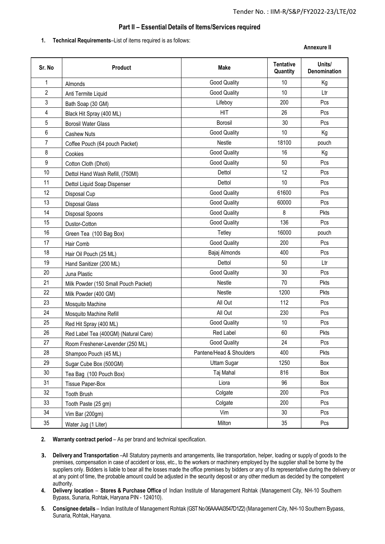## **Part II – Essential Details of Items/Services required**

#### **1. Technical Requirements**–List of items required is as follows:

#### **Annexure II**

| Sr. No         | Product                              | Make                     | <b>Tentative</b><br>Quantity | Units/<br>Denomination |
|----------------|--------------------------------------|--------------------------|------------------------------|------------------------|
| 1              | Almonds                              | <b>Good Quality</b>      | 10                           | Kg                     |
| $\overline{2}$ | Anti Termite Liquid                  | <b>Good Quality</b>      | 10                           | Ltr                    |
| $\mathfrak{Z}$ | Bath Soap (30 GM)                    | Lifeboy                  | 200                          | Pcs                    |
| $\overline{4}$ | Black Hit Spray (400 ML)             | <b>HIT</b>               | 26                           | Pcs                    |
| 5              | <b>Borosil Water Glass</b>           | Borosil                  | 30                           | Pcs                    |
| 6              | <b>Cashew Nuts</b>                   | <b>Good Quality</b>      | 10                           | Kg                     |
| $\overline{7}$ | Coffee Pouch (64 pouch Packet)       | <b>Nestle</b>            | 18100                        | pouch                  |
| 8              | Cookies                              | <b>Good Quality</b>      | 16                           | Kg                     |
| 9              | Cotton Cloth (Dhoti)                 | <b>Good Quality</b>      | 50                           | Pcs                    |
| 10             | Dettol Hand Wash Refill, (750MI)     | Dettol                   | 12                           | Pcs                    |
| 11             | Dettol Liquid Soap Dispenser         | Dettol                   | 10                           | Pcs                    |
| 12             | Disposal Cup                         | <b>Good Quality</b>      | 61600                        | Pcs                    |
| 13             | <b>Disposal Glass</b>                | <b>Good Quality</b>      | 60000                        | Pcs                    |
| 14             | Disposal Spoons                      | <b>Good Quality</b>      | 8                            | Pkts                   |
| 15             | Dustor-Cotton                        | <b>Good Quality</b>      | 136                          | Pcs                    |
| 16             | Green Tea (100 Bag Box)              | Tetley                   | 16000                        | pouch                  |
| 17             | Hair Comb                            | <b>Good Quality</b>      | 200                          | Pcs                    |
| 18             | Hair Oil Pouch (25 ML)               | Bajaj Almonds            | 400                          | Pcs                    |
| 19             | Hand Sanitizer (200 ML)              | Dettol                   | 50                           | Ltr                    |
| 20             | Juna Plastic                         | <b>Good Quality</b>      | 30                           | Pcs                    |
| 21             | Milk Powder (150 Small Pouch Packet) | Nestle                   | 70                           | Pkts                   |
| 22             | Milk Powder (400 GM)                 | <b>Nestle</b>            | 1200                         | Pkts                   |
| 23             | Mosquito Machine                     | All Out                  | 112                          | Pcs                    |
| 24             | Mosquito Machine Refill              | All Out                  | 230                          | Pcs                    |
| 25             | Red Hit Spray (400 ML)               | <b>Good Quality</b>      | 10                           | Pcs                    |
| 26             | Red Label Tea (400GM) (Natural Care) | Red Label                | 60                           | Pkts                   |
| 27             | Room Freshener-Levender (250 ML)     | <b>Good Quality</b>      | 24                           | Pcs                    |
| 28             | Shampoo Pouch (45 ML)                | Pantene/Head & Shoulders | 400                          | Pkts                   |
| 29             | Sugar Cube Box (500GM)               | <b>Uttam Sugar</b>       | 1250                         | Box                    |
| 30             | Tea Bag (100 Pouch Box)              | Taj Mahal                | 816                          | Box                    |
| 31             | <b>Tissue Paper-Box</b>              | Liora                    | 96                           | Box                    |
| 32             | <b>Tooth Brush</b>                   | Colgate                  | 200                          | Pcs                    |
| 33             | Tooth Paste (25 gm)                  | Colgate                  | 200                          | Pcs                    |
| 34             | Vim Bar (200gm)                      | Vim                      | 30                           | Pcs                    |
| 35             | Water Jug (1 Liter)                  | Milton                   | 35                           | Pcs                    |

#### **2. Warranty contract period** – As per brand and technical specification.

- **3. Delivery and Transportation** –All Statutory payments and arrangements, like transportation, helper, loading or supply of goods to the premises, compensation in case of accident or loss, etc., to the workers or machinery employed by the supplier shall be borne by the suppliers only. Bidders is liable to bear all the losses made the office premises by bidders or any of its representative during the delivery or at any point of time, the probable amount could be adjusted in the security deposit or any other medium as decided by the competent authority.
- **4. Delivery location Stores & Purchase Office** of Indian Institute of Management Rohtak (Management City, NH-10 Southern Bypass, Sunaria, Rohtak, Haryana PIN - 124010).
- **5. Consignee details** Indian Institute of Management Rohtak (GST No 06AAAAI3547D1Z2) (Management City, NH-10 Southern Bypass, Sunaria, Rohtak, Haryana.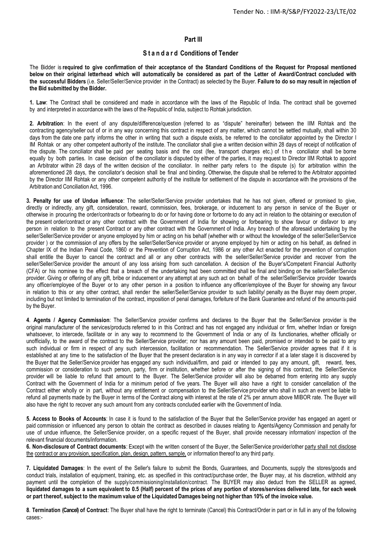## **Part III**

## **S t a n d a r d Conditions of Tender**

The Bidder is required to give confirmation of their acceptance of the Standard Conditions of the Request for Proposal mentioned below on their original letterhead which will automatically be considered as part of the Letter of Award/Contract concluded with **the successful Bidders** (i.e. Seller/Seller/Service provider in the Contract) as selected by the Buyer. **Failure to do so may result in rejection of the Bid submitted by the Bidder.**

**1. Law**: The Contract shall be considered and made in accordance with the laws of the Republic of India. The contract shall be governed by and interpreted in accordance with the laws of the Republic of India, subject to Rohtak jurisdiction.

**2. Arbitration**: In the event of any dispute/difference/question (referred to as "dispute" hereinafter) between the IIM Rohtak and the contracting agency/seller out of or in any way concerning this contract in respect of any matter, which cannot be settled mutually, shall within 30 days from the date one party informs the other in writing that such a dispute exists, be referred to the conciliator appointed by the Director I IM Rohtak or any other competent authority of the institute. The conciliator shall give a written decision within 28 days of receipt of notification of the dispute. The conciliator shall be paid per seating basis and the cost (fee, transport charges etc.) of the conciliator shall be borne equally by both parties. In case decision of the conciliator is disputed by either of the parties, it may request to Director IIM Rohtak to appoint an Arbitrator within 28 days of the written decision of the conciliator. In neither party refers to the dispute (s) for arbitration within the aforementioned 28 days, the conciliator's decision shall be final and binding. Otherwise, the dispute shall be referred to the Arbitrator appointed by the Director IIM Rohtak or any other competent authority of the institute for settlement of the dispute in accordance with the provisions of the Arbitration and Conciliation Act, 1996.

**3. Penalty for use of Undue influence**: The seller/Seller/Service provider undertakes that he has not given, offered or promised to give, directly or indirectly, any gift, consideration, reward, commission, fees, brokerage, or inducement to any person in service of the Buyer or otherwise in procuring the order/contracts or forbearing to do or for having done or forborne to do any act in relation to the obtaining or execution of the present order/contract or any other contract with the Government of India for showing or forbearing to show favour or disfavor to any person in relation to the present Contract or any other contract with the Government of India. Any breach of the aforesaid undertaking by the seller/Seller/Service provider or anyone employed by him or acting on his behalf (whether with or without the knowledge of the seller/Seller/Service provider ) or the commission of any offers by the seller/Seller/Service provider or anyone employed by him or acting on his behalf, as defined in Chapter IX of the Indian Penal Code, 1860 or the Prevention of Corruption Act, 1986 or any other Act enacted for the prevention of corruption shall entitle the Buyer to cancel the contract and all or any other contracts with the seller/Seller/Service provider and recover from the seller/Seller/Service provider the amount of any loss arising from such cancellation. A decision of the Buyer's/Competent Financial Authority (CFA) or his nominee to the effect that a breach of the undertaking had been committed shall be final and binding on the seller/Seller/Service provider. Giving or offering of any gift, bribe or inducement or any attempt at any such act on behalf of the seller/Seller/Service provider towards any officer/employee of the Buyer or to any other person in a position to influence any officer/employee of the Buyer for showing any favour in relation to this or any other contract, shall render the seller/Seller/Service provider to such liability/ penalty as the Buyer may deem proper, including but not limited to termination of the contract, imposition of penal damages, forfeiture of the Bank Guarantee and refund of the amounts paid by the Buyer.

**4**. **Agents / Agency Commission**: The Seller/Service provider confirms and declares to the Buyer that the Seller/Service provider is the original manufacturer of the services/products referred to in this Contract and has not engaged any individual or firm, whether Indian or foreign whatsoever, to intercede, facilitate or in any way to recommend to the Government of India or any of its functionaries, whether officially or unofficially, to the award of the contract to the Seller/Service provider; nor has any amount been paid, promised or intended to be paid to any such individual or firm in respect of any such intercession, facilitation or recommendation. The Seller/Service provider agrees that if it is established at any time to the satisfaction of the Buyer that the present declaration is in any way in corrector if at a later stage it is discovered by the Buyer that the Seller/Service provider has engaged any such individual/firm, and paid or intended to pay any amount, gift, reward, fees, commission or consideration to such person, party, firm or institution, whether before or after the signing of this contract, the Seller/Service provider will be liable to refund that amount to the Buyer. The Seller/Service provider will also be debarred from entering into any supply Contract with the Government of India for a minimum period of five years. The Buyer will also have a right to consider cancellation of the Contract either wholly or in part, without any entitlement or compensation to the Seller/Service provider who shall in such an event be liable to refund all payments made by the Buyer in terms of the Contract along with interest at the rate of 2% per annum above MIBOR rate. The Buyer will also have the right to recover any such amount from any contracts concluded earlier with the Government of India.

**5. Access to Books of Accounts**: In case it is found to the satisfaction of the Buyer that the Seller/Service provider has engaged an agent or paid commission or influenced any person to obtain the contract as described in clauses relating to Agents/Agency Commission and penalty for use of undue influence, the Seller/Service provider, on a specific request of the Buyer, shall provide necessary information/ inspection of the relevant financial documents/information.

**6. Non-disclosure of Contract documents**: Except with the written consent of the Buyer, the Seller/Service provider/other party shall not disclose the contract or any provision, specification, plan, design, pattern, sample, or information thereof to any third party.

**7. Liquidated Damages**: In the event of the Seller's failure to submit the Bonds, Guarantees, and Documents, supply the stores/goods and conduct trials, installation of equipment, training, etc. as specified in this contract/purchase order, the Buyer may, at his discretion, withhold any payment until the completion of the supply/commissioning/installation/contract. The BUYER may also deduct from the SELLER as agreed, liquidated damages to a sum equivalent to 0.5 (Half) percent of the prices of any portion of stores/services delivered late, for each week or part thereof, subject to the maximum value of the Liquidated Damages being not higher than 10% of the invoice value.

**8**. **Termination (Cancel) of Contract**: The Buyer shall have the right to terminate (Cancel) this Contract/Order in part or in full in any of the following cases:-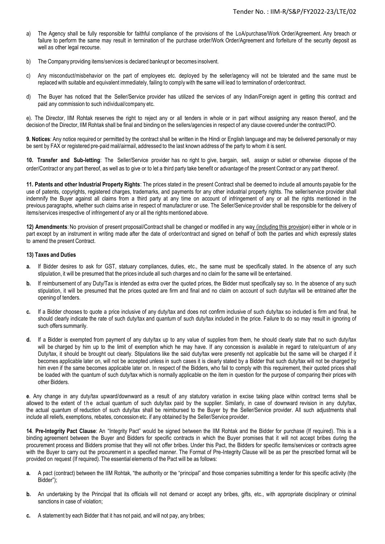- a) The Agency shall be fully responsible for faithful compliance of the provisions of the LoA/purchase/Work Order/Agreement. Any breach or failure to perform the same may result in termination of the purchase order/Work Order/Agreement and forfeiture of the security deposit as well as other legal recourse.
- b) The Company providing items/services is declared bankrupt or becomes insolvent.
- c) Any misconduct/misbehavior on the part of employees etc. deployed by the seller/agency will not be tolerated and the same must be replaced with suitable and equivalent immediately, failing to comply with the same will lead to termination of order/contract.
- d) The Buyer has noticed that the Seller/Service provider has utilized the services of any Indian/Foreign agent in getting this contract and paid any commission to such individual/company etc.

e). The Director, IIM Rohtak reserves the right to reject any or all tenders in whole or in part without assigning any reason thereof, and the decision of the Director, IIM Rohtak shall be final and binding on the sellers/agencies in respect of any clause covered under the contract/PO.

**9. Notices**: Any notice required or permitted by the contract shall be written in the Hindi or English language and may be delivered personally or may be sent by FAX or registered pre-paid mail/airmail, addressed to the last known address of the party to whom it is sent.

**10. Transfer and Sub-letting**: The Seller/Service provider has no right to give, bargain, sell, assign or sublet or otherwise dispose of the order/Contract or any part thereof, as well as to give or to let a third party take benefit or advantage of the present Contract or any part thereof.

**11. Patents and other Industrial Property Rights**: The prices stated in the present Contract shall be deemed to include all amounts payable for the use of patents, copyrights, registered charges, trademarks, and payments for any other industrial property rights. The seller/service provider shall indemnify the Buyer against all claims from a third party at any time on account of infringement of any or all the rights mentioned in the previous paragraphs, whether such claims arise in respect of manufacturer or use. The Seller/Service provider shall be responsible for the delivery of items/services irrespective of infringement of any or all the rights mentioned above.

**12) Amendments**: No provision of present proposal/Contract shall be changed or modified in any way (including this provision) either in whole or in part except by an instrument in writing made after the date of order/contract and signed on behalf of both the parties and which expressly states to amend the present Contract.

#### **13) Taxes and Duties**

- **a.** If Bidder desires to ask for GST, statuary compliances, duties, etc., the same must be specifically stated. In the absence of any such stipulation, it will be presumed that the prices include all such charges and no claim for the same will be entertained.
- **b.** If reimbursement of any Duty/Tax is intended as extra over the quoted prices, the Bidder must specifically say so. In the absence of any such stipulation, it will be presumed that the prices quoted are firm and final and no claim on account of such duty/tax will be entrained after the opening of tenders.
- **c.** If a Bidder chooses to quote a price inclusive of any duty/tax and does not confirm inclusive of such duty/tax so included is firm and final, he should clearly indicate the rate of such duty/tax and quantum of such duty/tax included in the price. Failure to do so may result in ignoring of such offers summarily.
- **d.** If a Bidder is exempted from payment of any duty/tax up to any value of supplies from them, he should clearly state that no such duty/tax will be charged by him up to the limit of exemption which he may have. If any concession is available in regard to rate/quantum of any Duty/tax, it should be brought out clearly. Stipulations like the said duty/tax were presently not applicable but the same will be charged if it becomes applicable later on, will not be accepted unless in such cases it is clearly stated by a Bidder that such duty/tax will not be charged by him even if the same becomes applicable later on. In respect of the Bidders, who fail to comply with this requirement, their quoted prices shall be loaded with the quantum of such duty/tax which is normally applicable on the item in question for the purpose of comparing their prices with other Bidders.

**e**. Any change in any duty/tax upward/downward as a result of any statutory variation in excise taking place within contract terms shall be allowed to the extent of the actual quantum of such duty/tax paid by the supplier. Similarly, in case of downward revision in any duty/tax, the actual quantum of reduction of such duty/tax shall be reimbursed to the Buyer by the Seller/Service provider. All such adjustments shall include all reliefs, exemptions, rebates, concession etc. if any obtained by the Seller/Service provider.

**14**. **Pre-Integrity Pact Clause**: An "Integrity Pact" would be signed between the IIM Rohtak and the Bidder for purchase (If required). This is a binding agreement between the Buyer and Bidders for specific contracts in which the Buyer promises that it will not accept bribes during the procurement process and Bidders promise that they will not offer bribes. Under this Pact, the Bidders for specific items/services or contracts agree with the Buyer to carry out the procurement in a specified manner. The Format of Pre-Integrity Clause will be as per the prescribed format will be provided on request (If required). The essential elements of the Pact will be as follows:

- **a.** A pact (contract) between the IIM Rohtak, "the authority or the "principal" and those companies submitting a tender for this specific activity (the Bidder");
- **b.** An undertaking by the Principal that its officials will not demand or accept any bribes, gifts, etc., with appropriate disciplinary or criminal sanctions in case of violation;
- **c.** A statement by each Bidder that it has not paid, and will not pay, any bribes;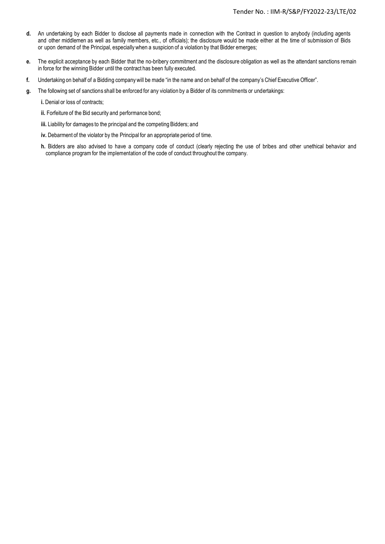- **d.** An undertaking by each Bidder to disclose all payments made in connection with the Contract in question to anybody (including agents and other middlemen as well as family members, etc., of officials); the disclosure would be made either at the time of submission of Bids or upon demand of the Principal, especially when a suspicion of a violation by that Bidder emerges;
- **e.** The explicit acceptance by each Bidder that the no-bribery commitment and the disclosure obligation as well as the attendant sanctions remain in force for the winning Bidder until the contract has been fully executed.
- **f.** Undertaking on behalf of a Bidding companywill be made "in the name and on behalf of the company's Chief Executive Officer".
- **g.** The following set of sanctions shall be enforced for any violation by a Bidder of its commitments or undertakings:
	- **i.** Denial or loss of contracts;
	- **ii.** Forfeiture of the Bid security and performance bond;
	- **iii.** Liability for damages to the principal and the competing Bidders; and
	- **iv.** Debarment of the violator by the Principal for an appropriate period of time.
	- **h.** Bidders are also advised to have a company code of conduct (clearly rejecting the use of bribes and other unethical behavior and compliance programfor the implementation of the code of conduct throughout the company.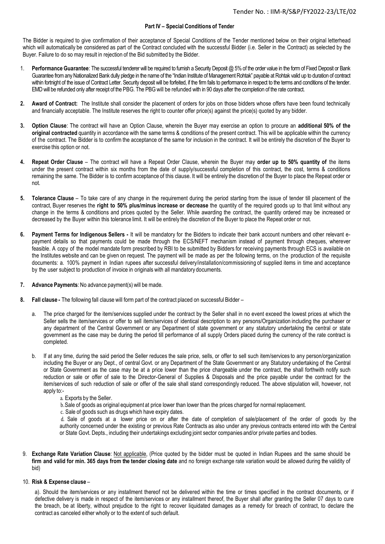#### **Part IV – Special Conditions of Tender**

The Bidder is required to give confirmation of their acceptance of Special Conditions of the Tender mentioned below on their original letterhead which will automatically be considered as part of the Contract concluded with the successful Bidder (i.e. Seller in the Contract) as selected by the Buyer. Failure to do so may result in rejection of the Bid submitted by the Bidder.

- 1. **Performance Guarantee**: The successful tenderer will be required to furnish a Security Deposit @ 5% of the order value in the form of Fixed Deposit or Bank Guarantee from any Nationalized Bank dully pledge in the name of the "Indian Institute of Management Rohtak" payable at Rohtak valid up to duration of contract within fortnight of the issue of Contract Letter. Security deposit will be forfeited, if the firm fails to performance in respect to the terms and conditions of the tender. EMD will be refunded only after receipt of the PBG. The PBG will be refunded with in 90 days after the completion of the rate contract.
- **2. Award of Contract:** The Institute shall consider the placement of orders for jobs on those bidders whose offers have been found technically and financially acceptable. The Institute reserves the right to counter offer price(s) against the price(s) quoted by any bidder.
- **3. Option Clause**: The contract will have an Option Clause, wherein the Buyer may exercise an option to procure an **additional 50% of the original contracted** quantity in accordance with the same terms & conditions of the present contract. This will be applicable within the currency of the contract. The Bidder is to confirm the acceptance of the same for inclusion in the contract. It will be entirely the discretion of the Buyer to exercise this option or not.
- **4. Repeat Order Clause** The contract will have a Repeat Order Clause, wherein the Buyer may **order up to 50% quantity of** the items under the present contract within six months from the date of supply/successful completion of this contract, the cost, terms & conditions remaining the same. The Bidder is to confirm acceptance of this clause. It will be entirely the discretion of the Buyer to place the Repeat order or not.
- **5. Tolerance Clause** To take care of any change in the requirement during the period starting from the issue of tender till placement of the contract, Buyer reserves the **right to 50% plus/minus increase or decrease** the quantity of the required goods up to that limit without any change in the terms & conditions and prices quoted by the Seller. While awarding the contract, the quantity ordered may be increased or decreased by the Buyer within this tolerance limit. It will be entirely the discretion of the Buyer to place the Repeat order or not.
- **6. Payment Terms for Indigenous Sellers -** It will be mandatory for the Bidders to indicate their bank account numbers and other relevant epayment details so that payments could be made through the ECS/NEFT mechanism instead of payment through cheques, wherever feasible. A copy of the model mandate form prescribed by RBI to be submitted by Bidders for receiving payments through ECS is available on the Institutes website and can be given on request. The payment will be made as per the following terms, on the production of the requisite documents: a. 100% payment in Indian rupees after successful delivery/installation/commissioning of supplied items in time and acceptance by the user subject to production of invoice in originals with all mandatory documents.
- **7. Advance Payments**: No advance payment(s) will be made.
- **8. Fall clause -** The following fall clause will form part of the contract placed on successful Bidder
	- a. The price charged for the item/services supplied under the contract by the Seller shall in no event exceed the lowest prices at which the Seller sells the item/services or offer to sell item/services of identical description to any persons/Organization including the purchaser or any department of the Central Government or any Department of state government or any statutory undertaking the central or state government as the case may be during the period till performance of all supply Orders placed during the currency of the rate contract is completed.
	- b. If at any time, during the said period the Seller reduces the sale price, sells, or offer to sell such item/services to any person/organization including the Buyer or any Dept., of central Govt. or any Department of the State Government or any Statutory undertaking of the Central or State Government as the case may be at a price lower than the price chargeable under the contract, the shall forthwith notify such reduction or sale or offer of sale to the Director-General of Supplies & Disposals and the price payable under the contract for the item/services of such reduction of sale or offer of the sale shall stand correspondingly reduced. The above stipulation will, however, not apply to:
		- a. Exports by the Seller.
		- b.Sale of goods as original equipment at price lower than lower than the prices charged for normal replacement.
		- c. Sale of goods such as drugs which have expiry dates.

d. Sale of goods at a lower price on or after the date of completion of sale/placement of the order of goods by the authority concerned under the existing or previous Rate Contracts as also under any previous contracts entered into with the Central or State Govt. Depts., including their undertakings excluding joint sector companies and/or private parties and bodies.

9. **Exchange Rate Variation Clause**: Not applicable, (Price quoted by the bidder must be quoted in Indian Rupees and the same should be **firm and valid for min. 365 days from the tender closing date** and no foreign exchange rate variation would be allowed during the validity of bid)

#### 10. **Risk & Expense clause** –

a). Should the item/services or any installment thereof not be delivered within the time or times specified in the contract documents, or if defective delivery is made in respect of the item/services or any installment thereof, the Buyer shall after granting the Seller 07 days to cure the breach, be at liberty, without prejudice to the right to recover liquidated damages as a remedy for breach of contract, to declare the contract as canceled either wholly or to the extent of such default.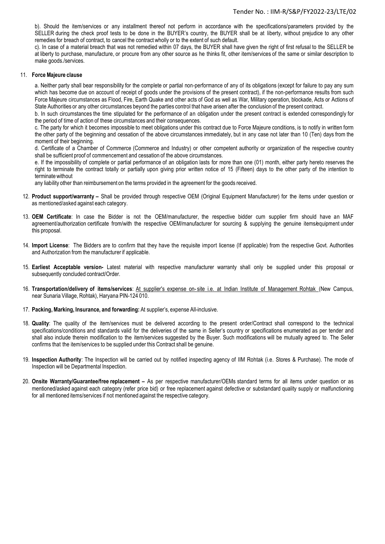b). Should the item/services or any installment thereof not perform in accordance with the specifications/parameters provided by the SELLER during the check proof tests to be done in the BUYER's country, the BUYER shall be at liberty, without prejudice to any other remedies for breach of contract, to cancel the contract wholly or to the extent of such default.

c). In case of a material breach that was not remedied within 07 days, the BUYER shall have given the right of first refusal to the SELLER be at liberty to purchase, manufacture, or procure from any other source as he thinks fit, other item/services of the same or similar description to make goods./services.

#### 11. **Force Majeure clause**

a. Neither party shall bear responsibility for the complete or partial non-performance of any of its obligations (except for failure to pay any sum which has become due on account of receipt of goods under the provisions of the present contract), if the non-performance results from such Force Majeure circumstances as Flood, Fire, Earth Quake and other acts of God as well as War, Military operation, blockade, Acts or Actions of State Authorities or any other circumstances beyond the parties control that have arisen after the conclusion of the present contract.

b. In such circumstances the time stipulated for the performance of an obligation under the present contract is extended correspondingly for the period of time of action of these circumstances and their consequences.

c. The party for which it becomes impossible to meet obligations under this contract due to Force Majeure conditions, is to notify in written form the other party of the beginning and cessation of the above circumstances immediately, but in any case not later than 10 (Ten) days from the moment of their beginning.

d. Certificate of a Chamber of Commerce (Commerce and Industry) or other competent authority or organization of the respective country shall be sufficient proof of commencement and cessation of the above circumstances.

e. If the impossibility of complete or partial performance of an obligation lasts for more than one (01) month, either party hereto reserves the right to terminate the contract totally or partially upon giving prior written notice of 15 (Fifteen) days to the other party of the intention to terminate without

any liability other than reimbursement on the terms provided in the agreement for the goods received.

- 12. **Product support/warranty –** Shall be provided through respective OEM (Original Equipment Manufacturer) for the items under question or as mentioned/asked against each category.
- 13. **OEM Certificate**: In case the Bidder is not the OEM/manufacturer, the respective bidder cum supplier firm should have an MAF agreement/authorization certificate from/with the respective OEM/manufacturer for sourcing & supplying the genuine items/equipment under this proposal.
- 14. **Import License**: The Bidders are to confirm that they have the requisite import license (If applicable) from the respective Govt. Authorities and Authorization from the manufacturer if applicable.
- 15. **Earliest Acceptable version-** Latest material with respective manufacturer warranty shall only be supplied under this proposal or subsequently concluded contract/Order.
- 16. **Transportation/delivery of items/services**: At supplier's expense on- site i.e. at Indian Institute of Management Rohtak (New Campus, near Sunaria Village, Rohtak), Haryana PIN-124 010.
- 17. **Packing,Marking, Insurance, and forwarding:** At supplier's, expense All-inclusive.
- 18. **Quality**: The quality of the item/services must be delivered according to the present order/Contract shall correspond to the technical specifications/conditions and standards valid for the deliveries of the same in Seller's country or specifications enumerated as per tender and shall also include therein modification to the item/services suggested by the Buyer. Such modifications will be mutually agreed to. The Seller confirms that the item/services to be supplied under this Contract shall be genuine.
- 19. **Inspection Authority**: The Inspection will be carried out by notified inspecting agency of IIM Rohtak (i.e. Stores & Purchase). The mode of Inspection will be Departmental Inspection.
- 20. **Onsite Warranty/Guarantee/free replacement –** As per respective manufacturer/OEMs standard terms for all items under question or as mentioned/asked against each category (refer price bid) or free replacement against defective or substandard quality supply or malfunctioning for all mentioned items/services if not mentioned against the respective category.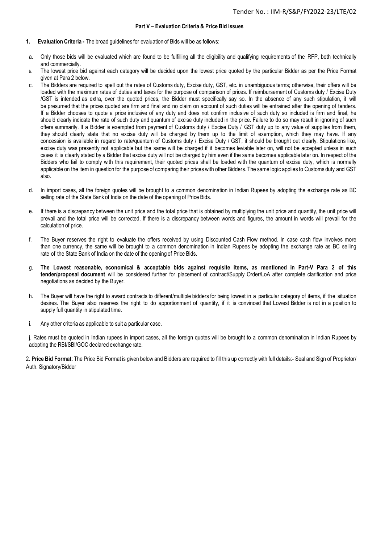#### **Part V – Evaluation Criteria & Price Bid issues**

- **1. Evaluation Criteria -** The broad guidelines for evaluation of Bids will be as follows:
- a. Only those bids will be evaluated which are found to be fulfilling all the eligibility and qualifying requirements of the RFP, both technically and commercially.
- b. The lowest price bid against each category will be decided upon the lowest price quoted by the particular Bidder as per the Price Format given at Para 2 below.
- c. The Bidders are required to spell out the rates of Customs duty, Excise duty, GST, etc. in unambiguous terms; otherwise, their offers will be loaded with the maximum rates of duties and taxes for the purpose of comparison of prices. If reimbursement of Customs duty / Excise Duty /GST is intended as extra, over the quoted prices, the Bidder must specifically say so. In the absence of any such stipulation, it will be presumed that the prices quoted are firm and final and no claim on account of such duties will be entrained after the opening of tenders. If a Bidder chooses to quote a price inclusive of any duty and does not confirm inclusive of such duty so included is firm and final, he should clearly indicate the rate of such duty and quantum of excise duty included in the price. Failure to do so may result in ignoring of such offers summarily. If a Bidder is exempted from payment of Customs duty / Excise Duty / GST duty up to any value of supplies from them, they should clearly state that no excise duty will be charged by them up to the limit of exemption, which they may have. If any concession is available in regard to rate/quantum of Customs duty / Excise Duty / GST, it should be brought out clearly. Stipulations like, excise duty was presently not applicable but the same will be charged if it becomes leviable later on, will not be accepted unless in such cases it is clearly stated by a Bidder that excise duty will not be charged by him even if the same becomes applicable later on. In respect of the Bidders who fail to comply with this requirement, their quoted prices shall be loaded with the quantum of excise duty, which is normally applicable on the item in question for the purpose of comparing their prices with other Bidders. The same logic applies to Customs duty and GST also.
- d. In import cases, all the foreign quotes will be brought to a common denomination in Indian Rupees by adopting the exchange rate as BC selling rate of the State Bank of India on the date of the opening of Price Bids.
- e. If there is a discrepancy between the unit price and the total price that is obtained by multiplying the unit price and quantity, the unit price will prevail and the total price will be corrected. If there is a discrepancy between words and figures, the amount in words will prevail for the calculation of price.
- f. The Buyer reserves the right to evaluate the offers received by using Discounted Cash Flow method. In case cash flow involves more than one currency, the same will be brought to a common denomination in Indian Rupees by adopting the exchange rate as BC selling rate of the State Bank of India on the date of the opening of Price Bids.
- g. The Lowest reasonable, economical & acceptable bids against requisite items, as mentioned in Part-V Para 2 of this **tender/proposal document** will be considered further for placement of contract/Supply Order/LoA after complete clarification and price negotiations as decided by the Buyer.
- h. The Buyer will have the right to award contracts to different/multiple bidders for being lowest in a particular category of items, if the situation desires. The Buyer also reserves the right to do apportionment of quantity, if it is convinced that Lowest Bidder is not in a position to supply full quantity in stipulated time.
- i. Any other criteria as applicable to suit a particular case.

j. Rates must be quoted in Indian rupees in import cases, all the foreign quotes will be brought to a common denomination in Indian Rupees by adopting the RBI/SBI/GOC declared exchange rate.

2. **Price Bid Format**: The Price Bid Format is given below and Bidders are required to fill this up correctly with full details:- Seal and Sign of Proprietor/ Auth. Signatory/Bidder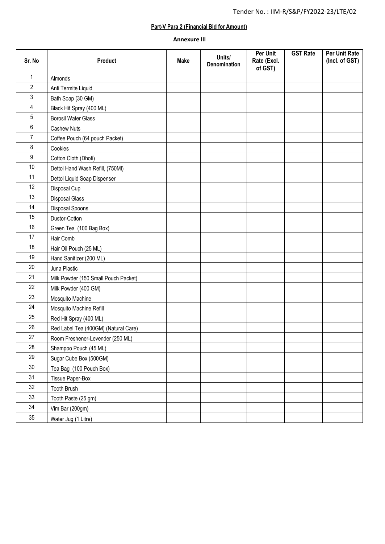## **Part-V Para 2 (Financial Bid for Amount)**

## **Annexure III**

| Sr. No         | Product                              | <b>Make</b> | Units/<br>Denomination | Per Unit<br>Rate (Excl.<br>of GST) | <b>GST Rate</b> | Per Unit Rate<br>(Incl. of GST) |
|----------------|--------------------------------------|-------------|------------------------|------------------------------------|-----------------|---------------------------------|
| 1              | Almonds                              |             |                        |                                    |                 |                                 |
| $\overline{2}$ | Anti Termite Liquid                  |             |                        |                                    |                 |                                 |
| 3              | Bath Soap (30 GM)                    |             |                        |                                    |                 |                                 |
| 4              | Black Hit Spray (400 ML)             |             |                        |                                    |                 |                                 |
| 5              | <b>Borosil Water Glass</b>           |             |                        |                                    |                 |                                 |
| 6              | <b>Cashew Nuts</b>                   |             |                        |                                    |                 |                                 |
| $\overline{7}$ | Coffee Pouch (64 pouch Packet)       |             |                        |                                    |                 |                                 |
| 8              | Cookies                              |             |                        |                                    |                 |                                 |
| 9              | Cotton Cloth (Dhoti)                 |             |                        |                                    |                 |                                 |
| 10             | Dettol Hand Wash Refill, (750MI)     |             |                        |                                    |                 |                                 |
| 11             | Dettol Liquid Soap Dispenser         |             |                        |                                    |                 |                                 |
| 12             | Disposal Cup                         |             |                        |                                    |                 |                                 |
| 13             | <b>Disposal Glass</b>                |             |                        |                                    |                 |                                 |
| 14             | Disposal Spoons                      |             |                        |                                    |                 |                                 |
| 15             | Dustor-Cotton                        |             |                        |                                    |                 |                                 |
| 16             | Green Tea (100 Bag Box)              |             |                        |                                    |                 |                                 |
| 17             | Hair Comb                            |             |                        |                                    |                 |                                 |
| 18             | Hair Oil Pouch (25 ML)               |             |                        |                                    |                 |                                 |
| 19             | Hand Sanitizer (200 ML)              |             |                        |                                    |                 |                                 |
| 20             | Juna Plastic                         |             |                        |                                    |                 |                                 |
| 21             | Milk Powder (150 Small Pouch Packet) |             |                        |                                    |                 |                                 |
| 22             | Milk Powder (400 GM)                 |             |                        |                                    |                 |                                 |
| 23             | Mosquito Machine                     |             |                        |                                    |                 |                                 |
| 24             | Mosquito Machine Refill              |             |                        |                                    |                 |                                 |
| 25             | Red Hit Spray (400 ML)               |             |                        |                                    |                 |                                 |
| 26             | Red Label Tea (400GM) (Natural Care) |             |                        |                                    |                 |                                 |
| $27\,$         | Room Freshener-Levender (250 ML)     |             |                        |                                    |                 |                                 |
| 28             | Shampoo Pouch (45 ML)                |             |                        |                                    |                 |                                 |
| 29             | Sugar Cube Box (500GM)               |             |                        |                                    |                 |                                 |
| $30\,$         | Tea Bag (100 Pouch Box)              |             |                        |                                    |                 |                                 |
| 31             | Tissue Paper-Box                     |             |                        |                                    |                 |                                 |
| 32             | Tooth Brush                          |             |                        |                                    |                 |                                 |
| 33             | Tooth Paste (25 gm)                  |             |                        |                                    |                 |                                 |
| 34             | Vim Bar (200gm)                      |             |                        |                                    |                 |                                 |
| 35             | Water Jug (1 Litre)                  |             |                        |                                    |                 |                                 |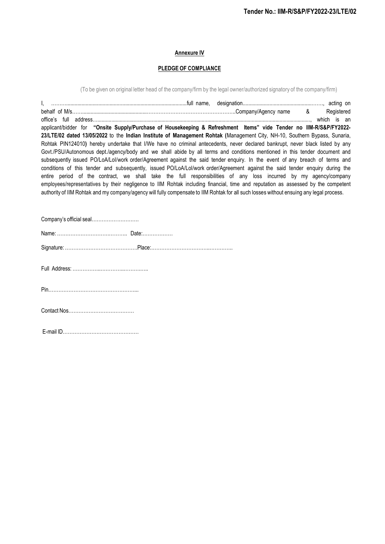## **Annexure IV**

## **PLEDGE OF COMPLIANCE**

(To be given on original letter head of the company/firm by the legal owner/authorized signatory of the company/firm)

| applicant/bidder for "Onsite Supply/Purchase of Housekeeping & Refreshment Items" vide Tender no IIM-R/S&P/FY2022-<br>23/LTE/02 dated 13/05/2022 to the Indian Institute of Management Rohtak (Management City, NH-10, Southern Bypass, Sunaria,<br>Rohtak PIN124010) hereby undertake that I/We have no criminal antecedents, never declared bankrupt, never black listed by any<br>Govt./PSU/Autonomous dept./agency/body and we shall abide by all terms and conditions mentioned in this tender document and<br>subsequently issued PO/LoA/Lol/work order/Agreement against the said tender enquiry. In the event of any breach of terms and<br>conditions of this tender and subsequently, issued PO/LoA/Lol/work order/Agreement against the said tender enquiry during the<br>entire period of the contract, we shall take the full responsibilities of any loss incurred by my agency/company<br>employees/representatives by their negligence to IIM Rohtak including financial, time and reputation as assessed by the competent<br>authority of IIM Rohtak and my company/agency will fully compensate to IIM Rohtak for all such losses without ensuing any legal process. | Registered |
|----------------------------------------------------------------------------------------------------------------------------------------------------------------------------------------------------------------------------------------------------------------------------------------------------------------------------------------------------------------------------------------------------------------------------------------------------------------------------------------------------------------------------------------------------------------------------------------------------------------------------------------------------------------------------------------------------------------------------------------------------------------------------------------------------------------------------------------------------------------------------------------------------------------------------------------------------------------------------------------------------------------------------------------------------------------------------------------------------------------------------------------------------------------------------------------|------------|
| Company's official seal                                                                                                                                                                                                                                                                                                                                                                                                                                                                                                                                                                                                                                                                                                                                                                                                                                                                                                                                                                                                                                                                                                                                                                |            |
|                                                                                                                                                                                                                                                                                                                                                                                                                                                                                                                                                                                                                                                                                                                                                                                                                                                                                                                                                                                                                                                                                                                                                                                        |            |
|                                                                                                                                                                                                                                                                                                                                                                                                                                                                                                                                                                                                                                                                                                                                                                                                                                                                                                                                                                                                                                                                                                                                                                                        |            |
|                                                                                                                                                                                                                                                                                                                                                                                                                                                                                                                                                                                                                                                                                                                                                                                                                                                                                                                                                                                                                                                                                                                                                                                        |            |
|                                                                                                                                                                                                                                                                                                                                                                                                                                                                                                                                                                                                                                                                                                                                                                                                                                                                                                                                                                                                                                                                                                                                                                                        |            |
|                                                                                                                                                                                                                                                                                                                                                                                                                                                                                                                                                                                                                                                                                                                                                                                                                                                                                                                                                                                                                                                                                                                                                                                        |            |

E-mail ID………………………………………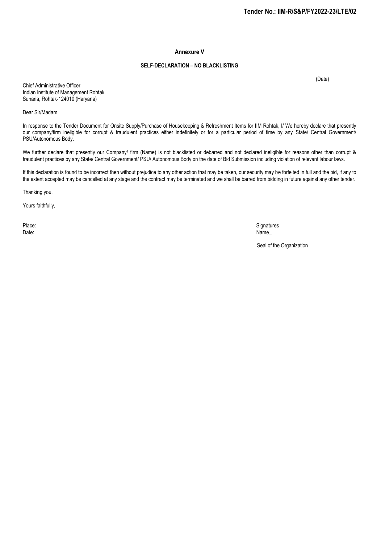#### **Annexure V**

#### **SELF-DECLARATION – NO BLACKLISTING**

(Date)

Chief Administrative Officer Indian Institute of Management Rohtak Sunaria, Rohtak-124010 (Haryana)

Dear Sir/Madam,

In response to the Tender Document for Onsite Supply/Purchase of Housekeeping & Refreshment Items for IIM Rohtak, I/ We hereby declare that presently our company/firm ineligible for corrupt & fraudulent practices either indefinitely or for a particular period of time by any State/ Central Government/ PSU/Autonomous Body.

We further declare that presently our Company/ firm (Name) is not blacklisted or debarred and not declared ineligible for reasons other than corrupt & fraudulent practices by any State/ Central Government/ PSU/ Autonomous Body on the date of Bid Submission including violation of relevant labour laws.

If this declaration is found to be incorrect then without prejudice to any other action that may be taken, our security may be forfeited in full and the bid, if any to the extent accepted may be cancelled at any stage and the contract may be terminated and we shall be barred from bidding in future against any other tender.

Thanking you,

Yours faithfully,

Place: Signatures\_ Date: Name\_

Seal of the Organization\_